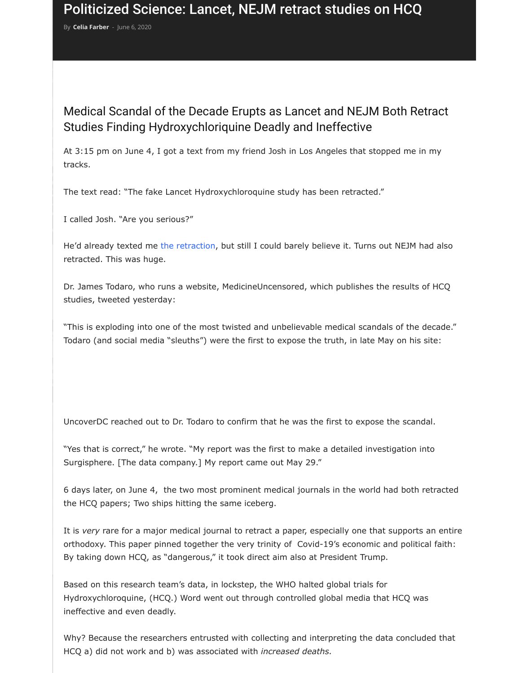At 3:15 pm on June 4, I got a text from my friend Josh in Los Angeles that stopped n tr[acks.](https://uncoverdc.com/author/celiafarber/)

The text read: "The fake Lancet Hydroxychloroquine study has been retracted."

I called Josh. "Are you serious?"

He'd already texted me the retraction, but still I could barely believe it. Turns out NEJ retracted. This was huge.

Dr. James Todaro, who runs a website, MedicineUncensored, which publishes the results of HCQ studies, tweeted yesterday:

"This is exploding into one of the most twisted and unbelievable medical scandals of t Todaro (and social media "sleuths") were the first to expose the truth, in late May on

UncoverDC reached out to Dr. Todaro to confirm that he was the first to expose the so

"Yes that is correct," he wrote. "My report was the first to make a detailed investigation Surgisphere. [The data company.] My report came out May 29."

6 days later, on June 4, the two most prominent medical journals in the world had both retracted both retracted both retainsh retainsh retainsh retainsh retainsh retainsh retainsh retainsh retainsh retainsh retainsh retain the HCQ papers; Two ships hitting the same iceberg.

It is *very* rare for a major medical journal to retract a paper, especially one that supp orthodoxy. This paper pinned together the very trinity of Covid-19's economic and po By taking down HCQ, as "dangerous," it took direct aim also at President Trump.

Based on this research team's data, in lockstep, the WHO halted global trials for Hydroxychloroquine, (HCQ.) Word went out through controlled global media that HCQ ineffective and even deadly.

Why? Because the researchers entrusted with collecting and interpreting the data cor HCQ a) did not work and b) was associated with *increased deaths.*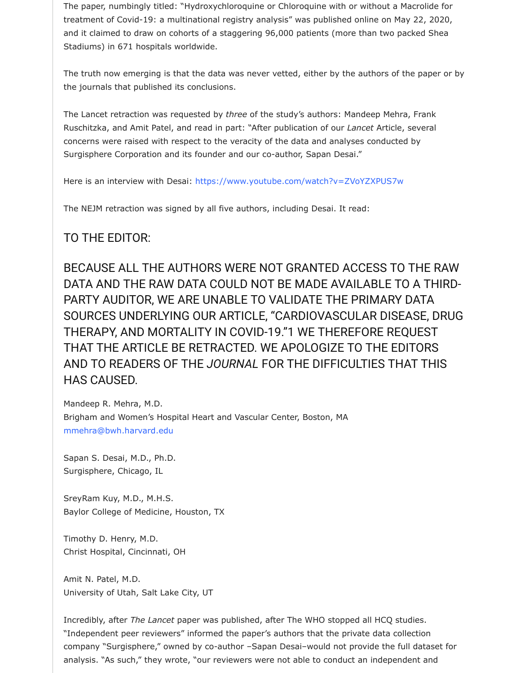concerns were raised with respect to the veracity of the data and analyses conducted by Surgisphere Corporation and its founder and our co-author, Sapan Desai."

Here is an interview with Desai: https://www.youtube.com/watch?v=ZVoYZXPUS7w

The NEJM retraction was signed by all five authors, including Desai. It read:

## TO THE EDITOR:

BECAUSE ALL THE AUTHORS WERE NOT GRANTED ACCESS TO DATA AND THE RAW DATA COULD NOT BE MADE AVAILABLE TO PARTY AUDITOR, WE ARE UNABLE TO VALIDATE THE PRIMARY I SOURCES UNDERLYING OUR ARTICLE, "CARDIOVASCULAR DISEASTICLE THERAPY, AND MORTAL[ITY IN COVID-19."1 WE THEREFORE REQ](https://www.youtube.com/watch?v=ZVoYZXPUS7w) THAT THE ARTICLE BE RETRACTED. WE APOLOGIZE TO THE EDI AND TO READERS OF THE JOURNAL FOR THE DIFFICULTIES THAT HAS CAUSED.

Mandeep R. Mehra, M.D. Brigham and Women's Hospital Heart and Vascular Center, Boston, MA mmehra@bwh.harvard.edu

Sapan S. Desai, M.D., Ph.D. Surgisphere, Chicago, IL

SreyRam Kuy, M.D., M.H.S. Baylor College of Medicine, Houston, TX

Timothy D. Henry, M.D. Christ Hospital, Cincinnati, OH

[Amit N. Patel, M.D.](mailto:mmehra@bwh.harvard.edu) University of Utah, Salt Lake City, UT

Incredibly, after *The Lancet* paper was published, after The WHO stopped all HCQ stu "Independent peer reviewers" informed the paper's authors that the private data colle company "Surgisphere," owned by co-author -Sapan Desai-would not provide the ful analysis. "As such," they wrote, "our reviewers were not able to conduct an independent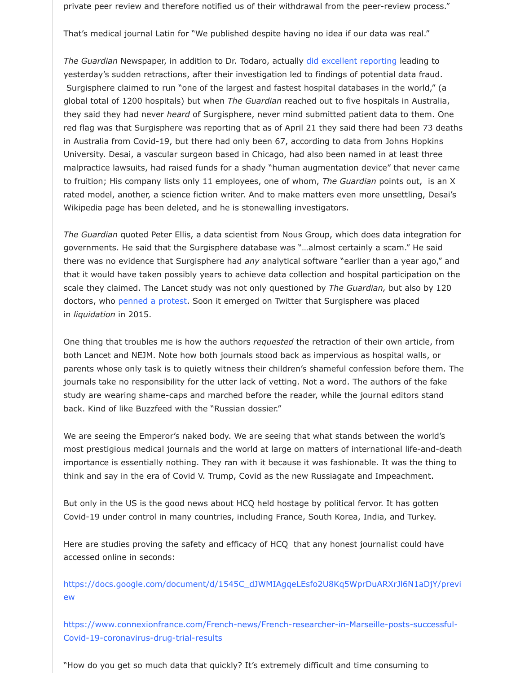in Australia from Covid-19, but there had only been 67, according to data from Johns Hopkins University. Desai, a vascular surgeon based in Chicago, had also been named in at least malpractice lawsuits, had raised funds for a shady "human augmentation device" that to fruition; His company lists only 11 employees, one of whom, *The Guardian* points out rated model, another, a science fiction writer. And to make matters even more unsett Wikipedia page has been deleted, and he is stonewalling in[vestigators.](https://www.theguardian.com/world/2020/jun/03/covid-19-surgisphere-who-world-health-organization-hydroxychloroquine)

*The Guardian* quoted Peter Ellis, a data scientist from Nous Group, which does data ir governments. He said that the Surgisphere database was "...almost certainly a scam." there was no evidence that Surgisphere had *any* analytical software "earlier than a ye that it would have taken possibly years to achieve data collection and hospital particip scale they claimed. The Lancet study was not only questioned by *The Guardian*, but a doctors, who penned a protest. Soon it emerged on Twitter that Surgisphere was place in *liquidation* in 2015.

One thing that troubles me is how the authors *requested* the retraction of their own a both Lancet and NEJM. Note how both journals stood back as impervious as hospital parents whose only task is to quietly witness their children's shameful confession before journals take no responsibility for the utter lack of vetting. Not a word. The authors o study are wearing shame-caps and marched before the reader, while the journal editors back. Kind of like Buzzfeed with the "Russian dossier."

We are seeing the Emperor's naked body. We are seeing that what stands between the most prestig[ious medical journ](https://www.kff.org/news-summary/more-than-120-medical-professionals-question-data-used-in-hcq-lancet-study-call-for-independent-review/)als and the world at large on matters of international I importance is essentially nothing. They ran with it because it was fashionable. It was think and say in the era of Covid V. Trump, Covid as the new Russiagate and Impeach

But only in the US is the good news about HCQ held hostage by political fervor. It has Covid-19 under control in many countries, including France, South Korea, India, and

Here are studies proving the safety and efficacy of HCQ that any honest journalist co accessed online in seconds:

https://docs.google.com/document/d/1545C\_dJWMIAgqeLEsfo2U8Kq5WprDuARXrJl6 ew

https://www.connexionfrance.com/French-news/French-researcher-in-Marseille-posts Covid-19-coronavirus-drug-trial-results

"How do you get so much data that quickly? It's extremely difficult and time consumi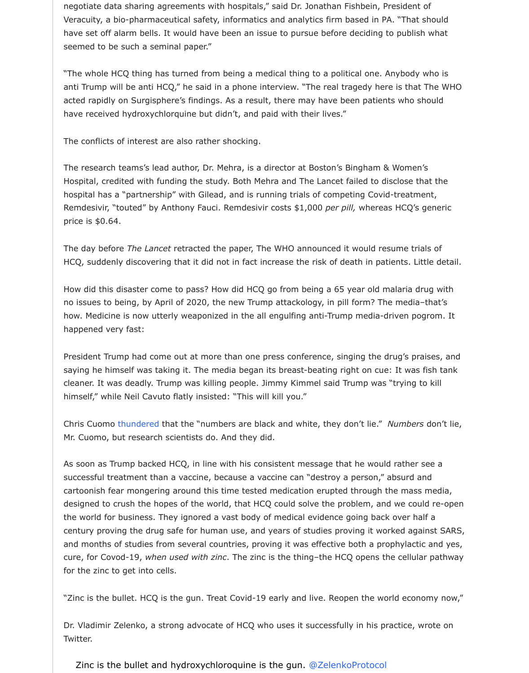The research teams's lead author, Dr. Mehra, is a director at Boston's Bingham & Won Hospital, credited with funding the study. Both Mehra and The Lancet failed to disclos hospital has a "partnership" with Gilead, and is running trials of competing Covid-treations. Remdesivir, "touted" by Anthony Fauci. Remdesivir costs \$1,000 *per pill,* whereas HC price is \$0.64.

The conflicts of interest are also rather shocking. The conflicts of interest are also rather shocking. The conflicts of interest are also related to the conflict state of interest are also related to the conflict state of

The day before *The Lancet* retracted the paper, The WHO announced it would resume HCQ, suddenly discovering that it did not in fact increase the risk of death in patients.

How did this disaster come to pass? How did HCQ go from being a 65 year old malari no issues to being, by April of 2020, the new Trump attackology, in pill form? The me how. Medicine is now utterly weaponized in the all engulfing anti-Trump media-driven happened very fast:

President Trump had come out at more than one press conference, singing the drug's saying he himself was taking it. The media began its breast-beating right on cue: It v cleaner. It was deadly. Trump was killing people. Jimmy Kimmel said Trump was "trying" himself," while Neil Cavuto flatly insisted: "This will kill you."

Chris Cuomo thundered that the "numbers are black and white, they don't lie." *Numl* Mr. Cuomo, but research scientists do. And they did.

As soon as Trump backed HCQ, in line with his consistent message that he would rath successful treatment than a vaccine, because a vaccine can "destroy a person," absur cartoonish fear mongering around this time tested medication erupted through the m designed to crush the hopes of the world, that HCQ could solve the problem, and we the world for business. They ignored a vast body of medical evidence going back over century proving the drug safe for human use, and years of studies proving it worked and months of studies from several countries, proving it was effective both a prophylactic and yes. cure, for Covod-19, when used with zinc. The zinc is the thing-the HCQ opens the cell for the zinc [to get into c](https://www.cnn.com/2020/05/18/politics/donald-trump-hydroxychloroquine-coronavirus/index.html?utm_medium=social&utm_source=fbCNN&utm_content=2020-05-19T00:31:17)ells.

"Zinc is the bullet. HCQ is the gun. Treat Covid-19 early and live. Reopen the world equation

Dr. Vladimir Zelenko, a strong advocate of HCQ who uses it successfully in his practice Twitter.

Zinc is the bullet and hydroxychloroquine is the gun. @ZelenkoProtocol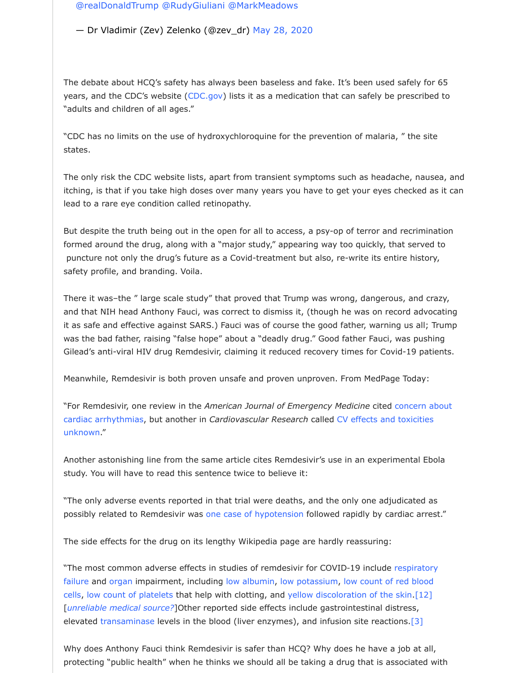st[ates.](https://twitter.com/realDonaldTrump?ref_src=twsrc%5Etfw)

The only risk the CDC website lists, apart from [transient symp](https://twitter.com/zev_dr/status/1265810776096473089?ref_src=twsrc%5Etfw)toms such as headache itching, is that if you take high doses over many years you have to get your eyes che lead to a rare eye condition called retinopathy.

But despite the truth being out in the open for all to access, a psy-op of terror and re formed around the drug, along [with a "m](http://cdc.gov/)ajor study," appearing way too quickly, that puncture not only the drug's future as a Covid-treatment but also, re-write its entire safety profile, and branding. Voila.

There it was-the " large scale study" that proved that Trump was wrong, dangerous, and that NIH head Anthony Fauci, was correct to dismiss it, (though he was on record it as safe and effective against SARS.) Fauci was of course the good father, warning u was the bad father, raising "false hope" about a "deadly drug." Good father Fauci, was Gilead's anti-viral HIV drug Remdesivir, claiming it reduced recovery times for Covid-1

Meanwhile, Remdesivir is both proven unsafe and proven unproven. From MedPage To

"For Remdesivir, one review in the American Journal of Emergency Medicine cited con cardiac arrhythmias, but another in *Cardiovascular Research* called CV effects and tox unknown."

Another astonishing line from the same article cites Remdesivir's use in an experimer study. You will have to read this sentence twice to believe it:

"The only adverse events reported in that trial were deaths, and the only one adjudic possibly related to Remdesivir was one case of hypotension followed rapidly by cardia

The side effects for the drug on its lengthy Wikipedia page are hardly reassuring:

["The most common adverse effects in studies of remdesivir for COVID](https://academic.oup.com/cardiovascres/advance-article/doi/10.1093/cvr/cvaa106/5826160)-19 include resp failure and organ impairment, including low albumin, low potassium, low count of red cells, low count of platelets that help with clotting, and yellow discoloration of the skin. [*unreliable medical source*?]Other reported side effects include gastrointestinal distre elevated transaminase levels in the blood (liver enzymes), and infusion site reactions

Why does Anthony Fauci think Remdesivir is safer than HCQ? Why does he have a job protecting "public health" when he [thinks we should all be t](https://www.nejm.org/doi/suppl/10.1056/NEJMoa1910993/suppl_file/nejmoa1910993_appendix.pdf)aking a drug that is assoc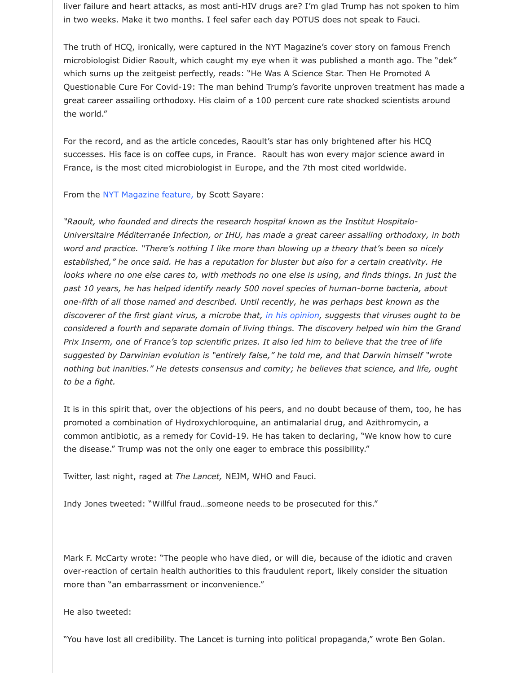For the record, and as the article concedes, Raoult's star has only brightened after his HCQ successes. His face is on coffee cups, in France. Raoult has won every major science France, is the most cited microbiologist in Europe, and the 7th most cited worldwide.

From the NYT Magazine feature, by Scott Sayare:

"Raoult, who founded and directs the research hospital known as the Institut Hospital *Universitaire Méditerranée Infection, or IHU, has made a great career assailing orthod word and practice. "There's nothing I like more than blowing up a theory that's been* established," he once said. He has a reputation for bluster but also for a certain creat *looks where no one else cares to, with methods no one else is using, and finds things* past 10 years, he has helped identify nearly 500 novel species of human-borne bacte *one-fifth of all those named and described. Until recently, he was perhaps best known as the discoverer of the first giant virus, a microbe that, in his opinion, suggests that viruses considered a fourth and separate domain of living things. The discovery helped win him the Grandale Brandale Munim him the Grandale win him the Grandale Munim him the Grandale Munim him the Grandale Munim him the Grandale Prix Inser[m, one of France's top](https://www.nytimes.com/2020/05/12/magazine/didier-raoult-hydroxychloroquine.html) scientific prizes. It also led him to believe that the tree of life* suggested by Darwinian evolution is "entirely false," he told me, and that Darwin him nothing but inanities." He detests consensus and comity; he believes that science, an *to be a fight.*

It is in this spirit that, over the objections of his peers, and no doubt because of them promoted a combination of Hydroxychloroquine, an antimalarial drug, and Azithromy common antibiotic, as a remedy for Covid-19. He has taken to declaring, "We know h the disease." Trump was not the only one eager to embrace this possibility."

Twitter, last night, raged at *The Lancet,* NEJM, WHO and Fauci.

Indy Jones tweeted: "Willful fraud…someone needs to be prosecuted for this."

Mark F. McCarty wrote: "The people who have died, or will die, because of the idiotic over-reaction of certain health authorities to this fraudulent report, likely consider the more than "an embarrassment or inconvenience."

He also tweeted:

"You have lost all credibility. The Lancet is turning into political propaganda," wrote Be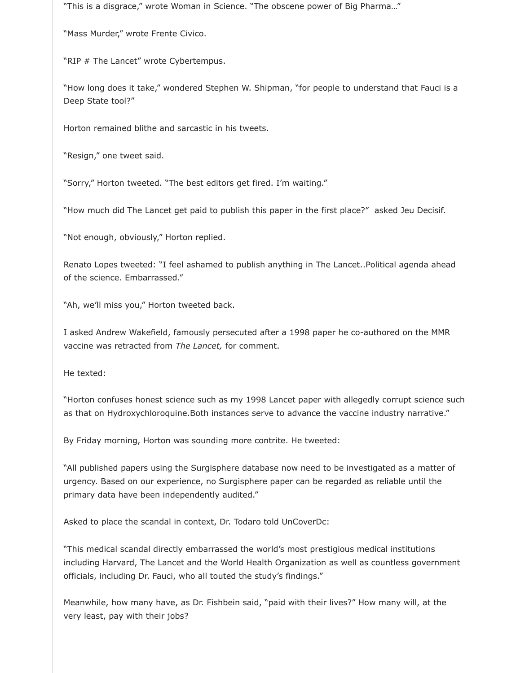"This is a disgrace," wrote Woman in Science. "The obscene power of Big Pharma…"

"Mass Murder," wrote Frente Civico.

"RIP # The Lancet" wrote Cybertempus.

"How long does it take," wondered Stephen W. Shipman, "for people to understand that Fauci is a Deep State tool?"

Horton remained blithe and sarcastic in his tweets.

"Resign," one tweet said.

"Sorry," Horton tweeted. "The best editors get fired. I'm waiting."

"How much did The Lancet get paid to publish this paper in the first place?" asked Jeu Decisif.

"Not enough, obviously," Horton replied.

Renato Lopes tweeted: "I feel ashamed to publish anything in The Lancet..Political agenda ahead of the science. Embarrassed."

"Ah, we'll miss you," Horton tweeted back.

I asked Andrew Wakefield, famously persecuted after a 1998 paper he co-authored on the MMR vaccine was retracted from *The Lancet,* for comment.

He texted:

"Horton confuses honest science such as my 1998 Lancet paper with allegedly corrupt science such as that on Hydroxychloroquine. Both instances serve to advance the vaccine industry narrative."

By Friday morning, Horton was sounding more contrite. He tweeted:

"All published papers using the Surgisphere database now need to be investigated as a matter of urgency. Based on our experience, no Surgisphere paper can be regarded as reliable until the primary data have been independently audited."

Asked to place the scandal in context, Dr. Todaro told UnCoverDc:

"This medical scandal directly embarrassed the world's most prestigious medical institutions including Harvard, The Lancet and the World Health Organization as well as countless government officials, including Dr. Fauci, who all touted the study's findings."

Meanwhile, how many have, as Dr. Fishbein said, "paid with their lives?" How many will, at the very least, pay with their jobs?